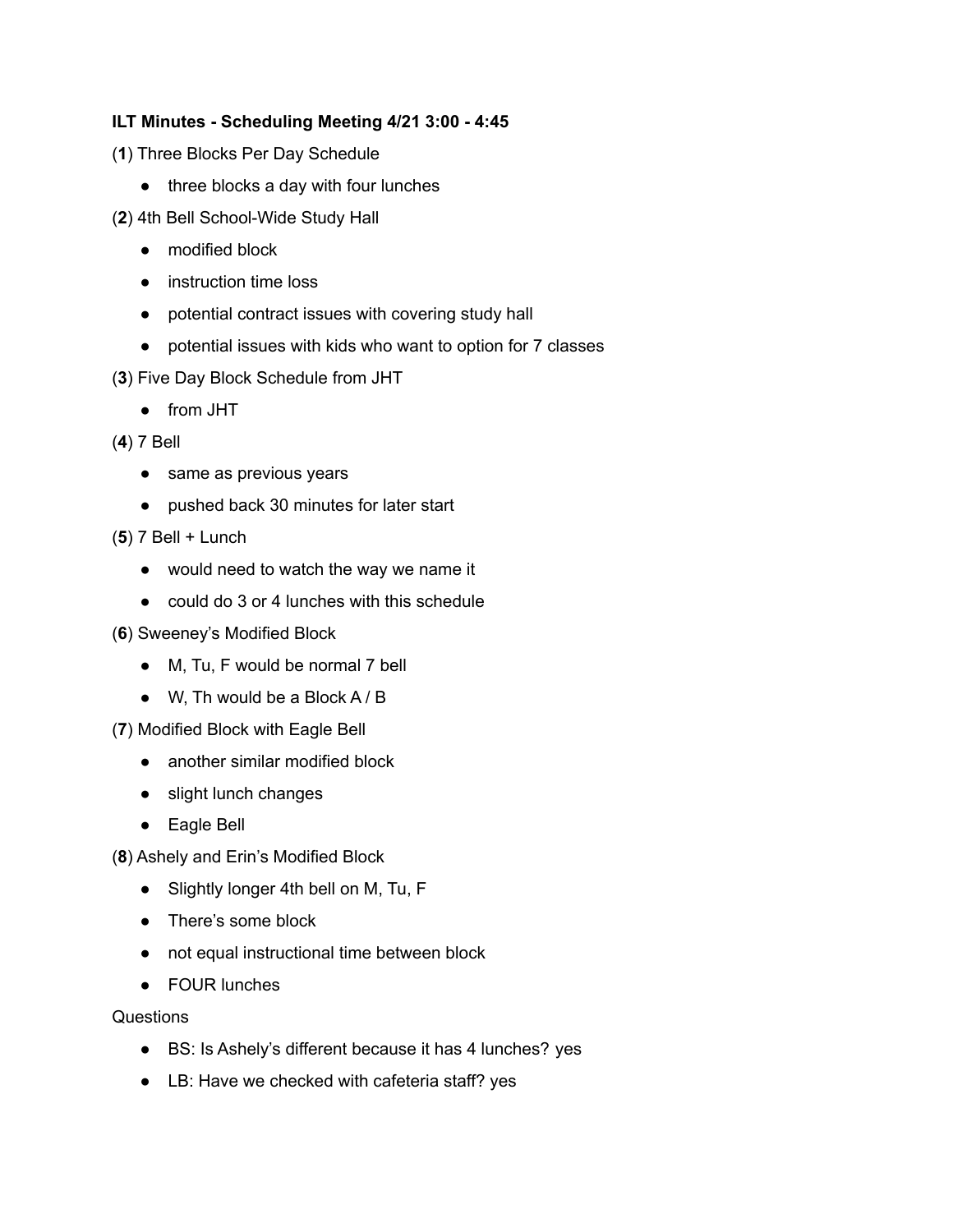## **ILT Minutes - Scheduling Meeting 4/21 3:00 - 4:45**

- (**1**) Three Blocks Per Day Schedule
	- three blocks a day with four lunches
- (**2**) 4th Bell School-Wide Study Hall
	- modified block
	- instruction time loss
	- potential contract issues with covering study hall
	- potential issues with kids who want to option for 7 classes
- (**3**) Five Day Block Schedule from JHT
	- from JHT
- (**4**) 7 Bell
	- same as previous years
	- pushed back 30 minutes for later start
- (**5**) 7 Bell + Lunch
	- would need to watch the way we name it
	- could do 3 or 4 lunches with this schedule
- (**6**) Sweeney's Modified Block
	- M, Tu, F would be normal 7 bell
	- $\bullet$  W, Th would be a Block A / B
- (**7**) Modified Block with Eagle Bell
	- another similar modified block
	- slight lunch changes
	- Eagle Bell
- (**8**) Ashely and Erin's Modified Block
	- Slightly longer 4th bell on M, Tu, F
	- There's some block
	- not equal instructional time between block
	- FOUR lunches

## **Questions**

- BS: Is Ashely's different because it has 4 lunches? yes
- LB: Have we checked with cafeteria staff? yes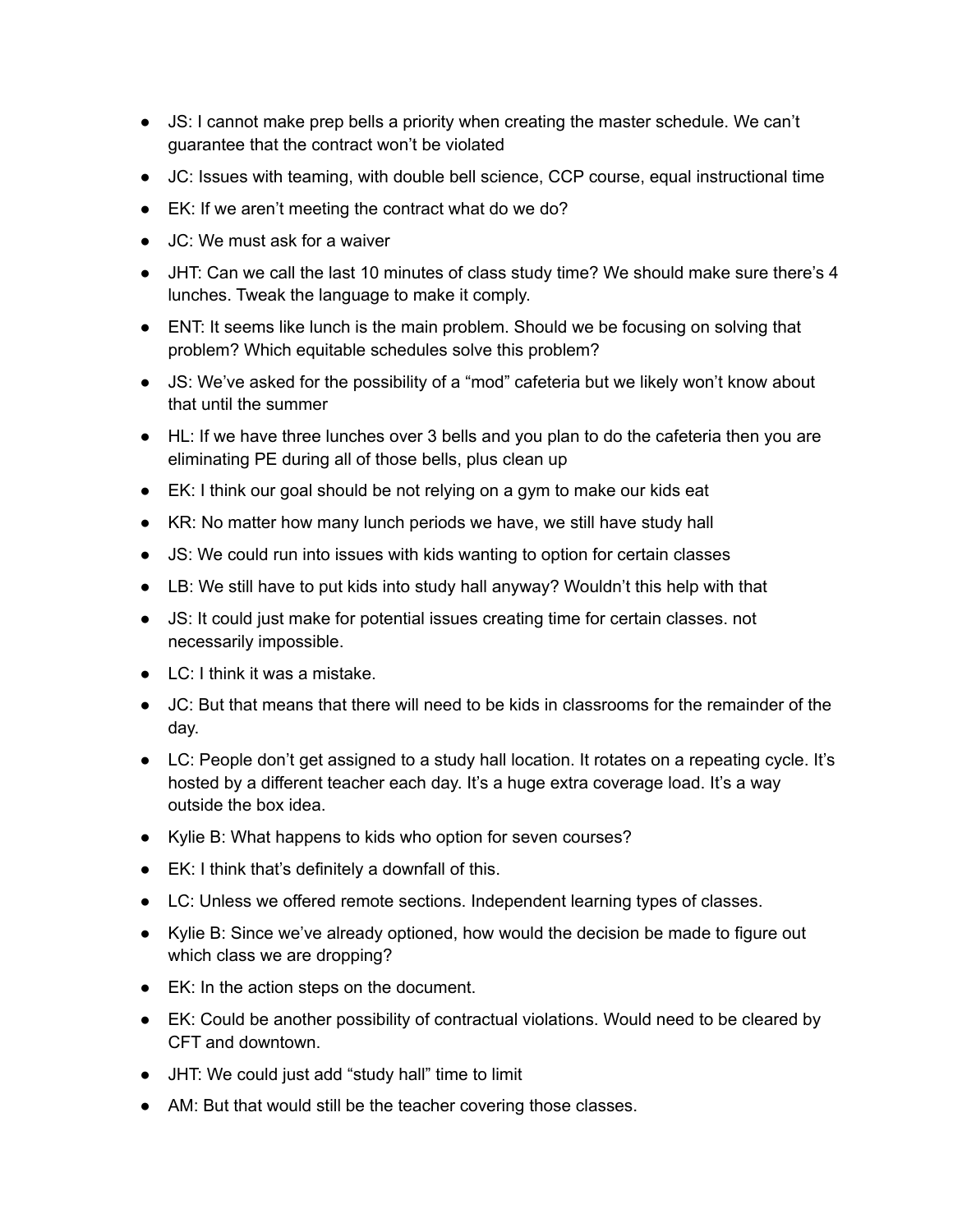- JS: I cannot make prep bells a priority when creating the master schedule. We can't guarantee that the contract won't be violated
- JC: Issues with teaming, with double bell science, CCP course, equal instructional time
- EK: If we aren't meeting the contract what do we do?
- JC: We must ask for a waiver
- JHT: Can we call the last 10 minutes of class study time? We should make sure there's 4 lunches. Tweak the language to make it comply.
- ENT: It seems like lunch is the main problem. Should we be focusing on solving that problem? Which equitable schedules solve this problem?
- JS: We've asked for the possibility of a "mod" cafeteria but we likely won't know about that until the summer
- HL: If we have three lunches over 3 bells and you plan to do the cafeteria then you are eliminating PE during all of those bells, plus clean up
- EK: I think our goal should be not relying on a gym to make our kids eat
- KR: No matter how many lunch periods we have, we still have study hall
- JS: We could run into issues with kids wanting to option for certain classes
- LB: We still have to put kids into study hall anyway? Wouldn't this help with that
- JS: It could just make for potential issues creating time for certain classes. not necessarily impossible.
- $\bullet$  LC: I think it was a mistake.
- JC: But that means that there will need to be kids in classrooms for the remainder of the day.
- LC: People don't get assigned to a study hall location. It rotates on a repeating cycle. It's hosted by a different teacher each day. It's a huge extra coverage load. It's a way outside the box idea.
- Kylie B: What happens to kids who option for seven courses?
- EK: I think that's definitely a downfall of this.
- LC: Unless we offered remote sections. Independent learning types of classes.
- Kylie B: Since we've already optioned, how would the decision be made to figure out which class we are dropping?
- EK: In the action steps on the document.
- EK: Could be another possibility of contractual violations. Would need to be cleared by CFT and downtown.
- JHT: We could just add "study hall" time to limit
- AM: But that would still be the teacher covering those classes.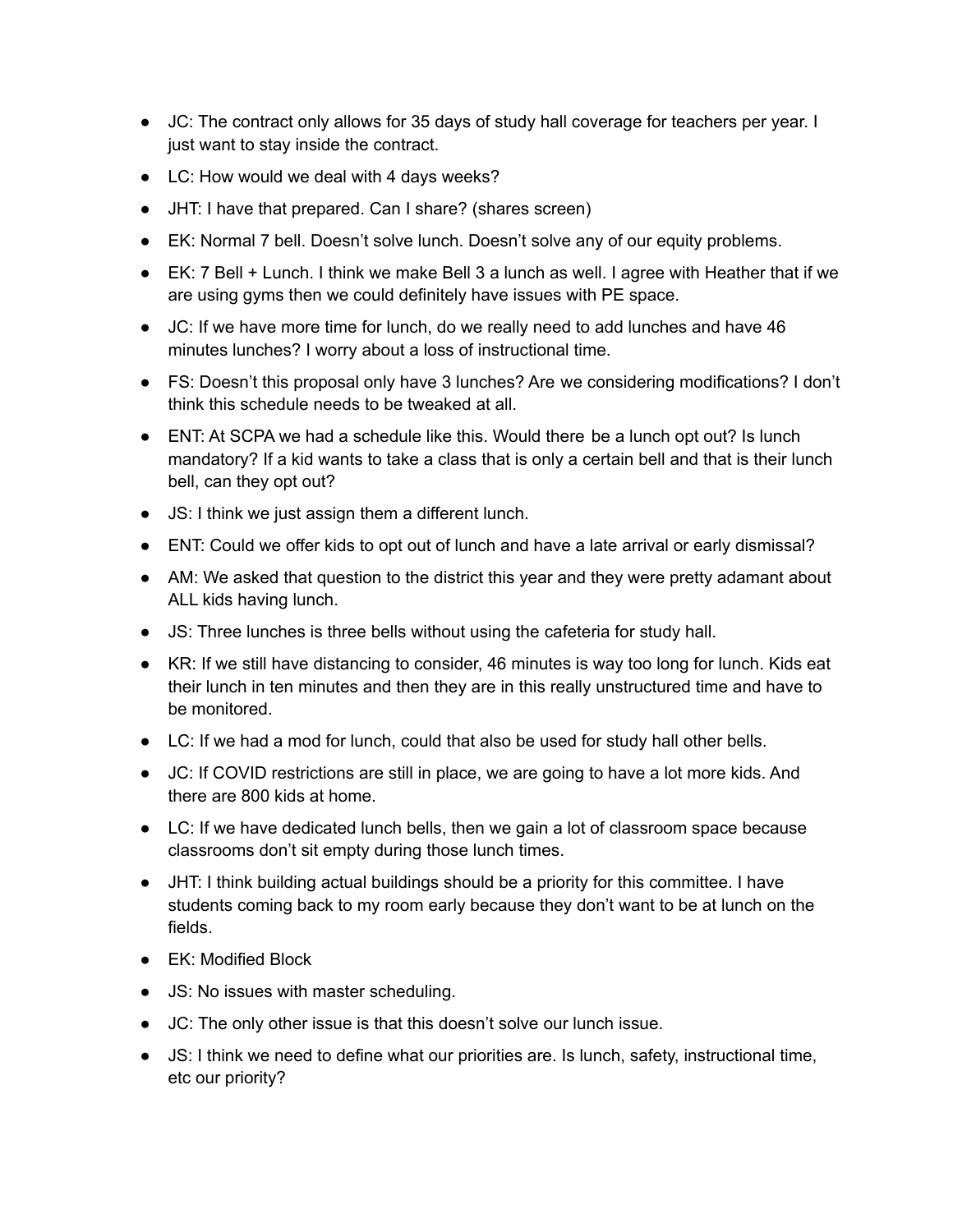- JC: The contract only allows for 35 days of study hall coverage for teachers per year. I just want to stay inside the contract.
- LC: How would we deal with 4 days weeks?
- JHT: I have that prepared. Can I share? (shares screen)
- EK: Normal 7 bell. Doesn't solve lunch. Doesn't solve any of our equity problems.
- EK: 7 Bell + Lunch. I think we make Bell 3 a lunch as well. I agree with Heather that if we are using gyms then we could definitely have issues with PE space.
- JC: If we have more time for lunch, do we really need to add lunches and have 46 minutes lunches? I worry about a loss of instructional time.
- FS: Doesn't this proposal only have 3 lunches? Are we considering modifications? I don't think this schedule needs to be tweaked at all.
- ENT: At SCPA we had a schedule like this. Would there be a lunch opt out? Is lunch mandatory? If a kid wants to take a class that is only a certain bell and that is their lunch bell, can they opt out?
- JS: I think we just assign them a different lunch.
- ENT: Could we offer kids to opt out of lunch and have a late arrival or early dismissal?
- AM: We asked that question to the district this year and they were pretty adamant about ALL kids having lunch.
- JS: Three lunches is three bells without using the cafeteria for study hall.
- KR: If we still have distancing to consider, 46 minutes is way too long for lunch. Kids eat their lunch in ten minutes and then they are in this really unstructured time and have to be monitored.
- LC: If we had a mod for lunch, could that also be used for study hall other bells.
- JC: If COVID restrictions are still in place, we are going to have a lot more kids. And there are 800 kids at home.
- LC: If we have dedicated lunch bells, then we gain a lot of classroom space because classrooms don't sit empty during those lunch times.
- JHT: I think building actual buildings should be a priority for this committee. I have students coming back to my room early because they don't want to be at lunch on the fields.
- EK: Modified Block
- JS: No issues with master scheduling.
- JC: The only other issue is that this doesn't solve our lunch issue.
- JS: I think we need to define what our priorities are. Is lunch, safety, instructional time, etc our priority?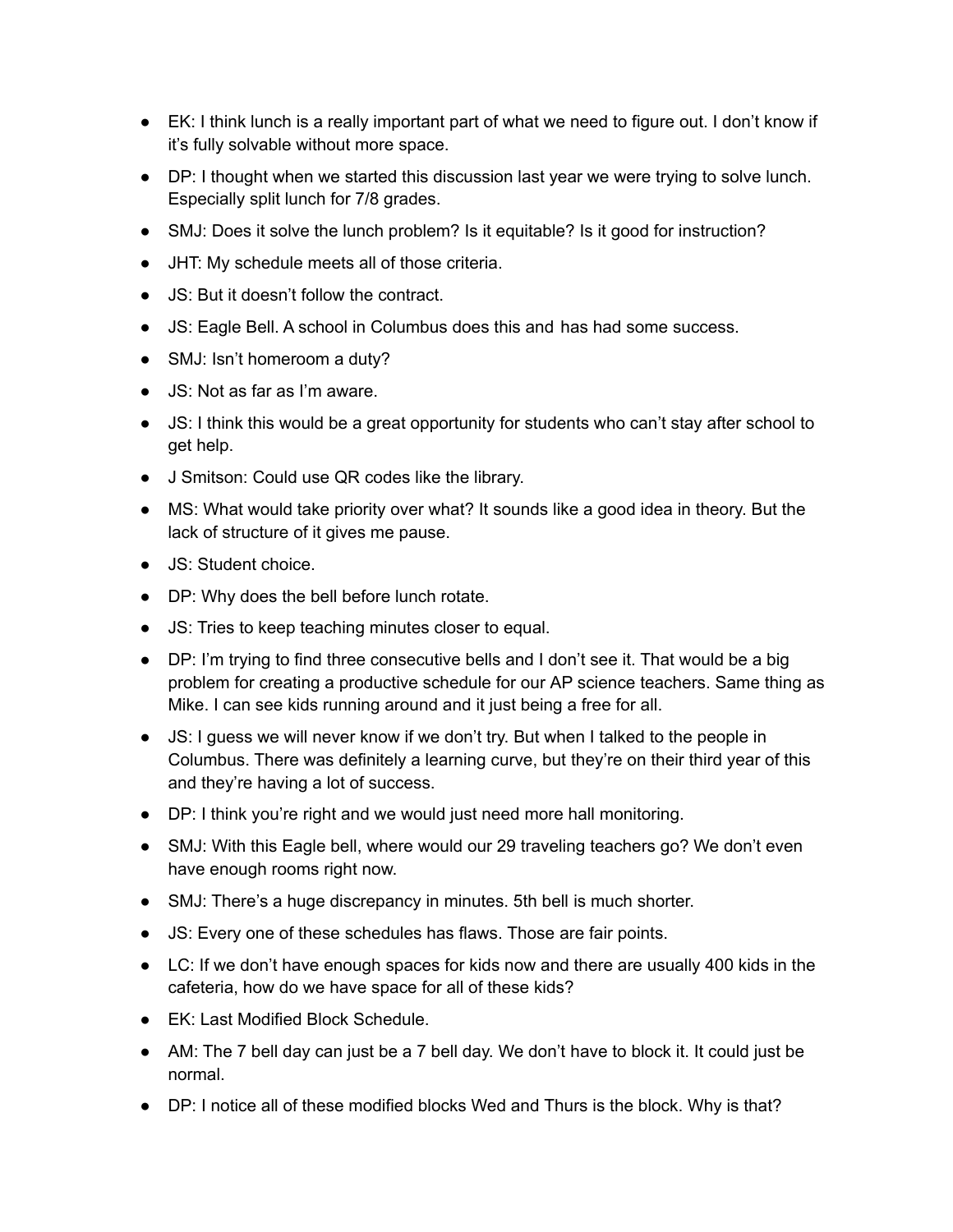- EK: I think lunch is a really important part of what we need to figure out. I don't know if it's fully solvable without more space.
- DP: I thought when we started this discussion last year we were trying to solve lunch. Especially split lunch for 7/8 grades.
- SMJ: Does it solve the lunch problem? Is it equitable? Is it good for instruction?
- JHT: My schedule meets all of those criteria.
- JS: But it doesn't follow the contract.
- JS: Eagle Bell. A school in Columbus does this and has had some success.
- SMJ: Isn't homeroom a duty?
- JS: Not as far as I'm aware.
- JS: I think this would be a great opportunity for students who can't stay after school to get help.
- J Smitson: Could use QR codes like the library.
- MS: What would take priority over what? It sounds like a good idea in theory. But the lack of structure of it gives me pause.
- JS: Student choice.
- DP: Why does the bell before lunch rotate.
- JS: Tries to keep teaching minutes closer to equal.
- DP: I'm trying to find three consecutive bells and I don't see it. That would be a big problem for creating a productive schedule for our AP science teachers. Same thing as Mike. I can see kids running around and it just being a free for all.
- JS: I guess we will never know if we don't try. But when I talked to the people in Columbus. There was definitely a learning curve, but they're on their third year of this and they're having a lot of success.
- DP: I think you're right and we would just need more hall monitoring.
- SMJ: With this Eagle bell, where would our 29 traveling teachers go? We don't even have enough rooms right now.
- SMJ: There's a huge discrepancy in minutes. 5th bell is much shorter.
- JS: Every one of these schedules has flaws. Those are fair points.
- LC: If we don't have enough spaces for kids now and there are usually 400 kids in the cafeteria, how do we have space for all of these kids?
- EK: Last Modified Block Schedule.
- AM: The 7 bell day can just be a 7 bell day. We don't have to block it. It could just be normal.
- DP: I notice all of these modified blocks Wed and Thurs is the block. Why is that?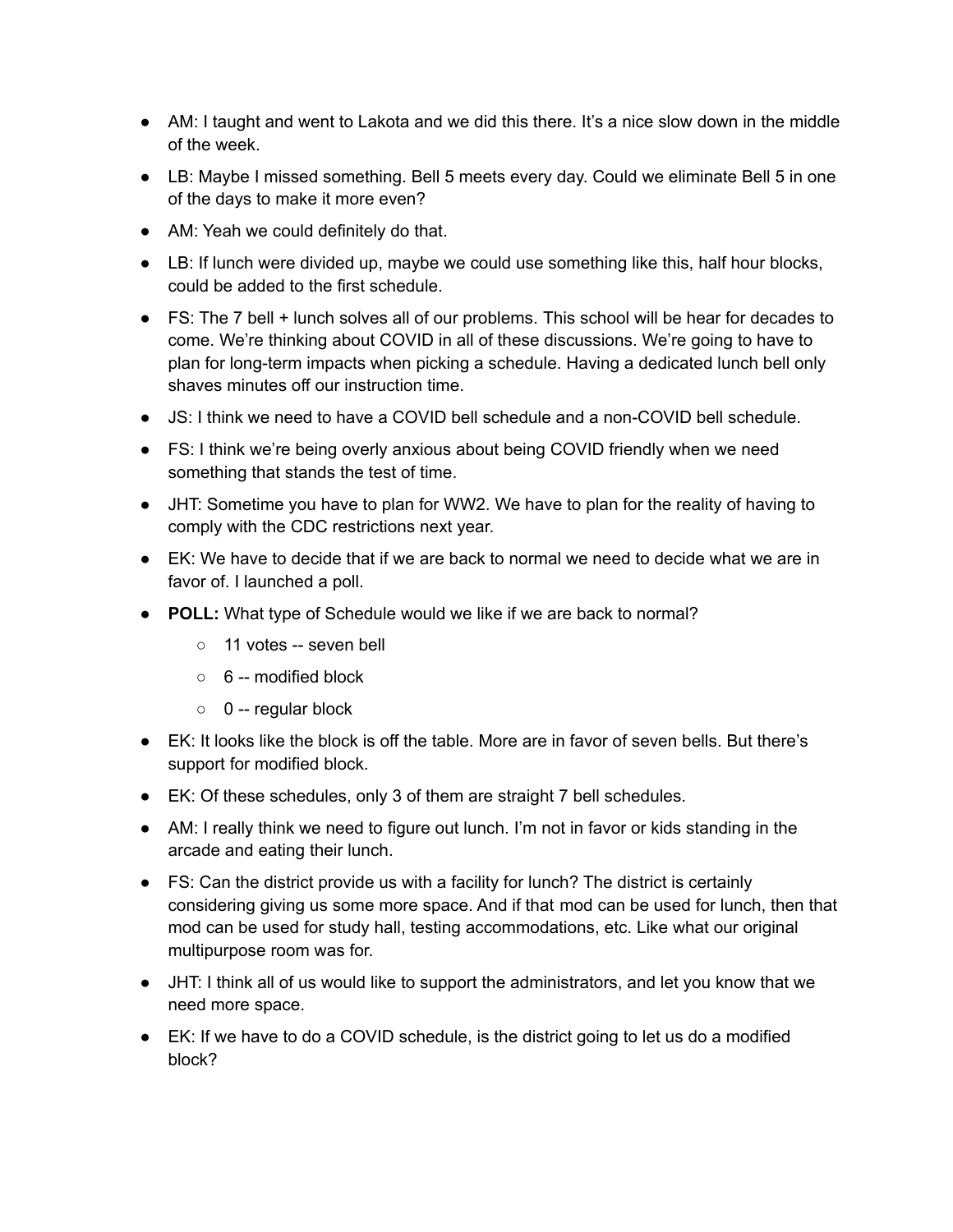- AM: I taught and went to Lakota and we did this there. It's a nice slow down in the middle of the week.
- LB: Maybe I missed something. Bell 5 meets every day. Could we eliminate Bell 5 in one of the days to make it more even?
- AM: Yeah we could definitely do that.
- LB: If lunch were divided up, maybe we could use something like this, half hour blocks, could be added to the first schedule.
- FS: The 7 bell + lunch solves all of our problems. This school will be hear for decades to come. We're thinking about COVID in all of these discussions. We're going to have to plan for long-term impacts when picking a schedule. Having a dedicated lunch bell only shaves minutes off our instruction time.
- JS: I think we need to have a COVID bell schedule and a non-COVID bell schedule.
- FS: I think we're being overly anxious about being COVID friendly when we need something that stands the test of time.
- JHT: Sometime you have to plan for WW2. We have to plan for the reality of having to comply with the CDC restrictions next year.
- EK: We have to decide that if we are back to normal we need to decide what we are in favor of. I launched a poll.
- **POLL:** What type of Schedule would we like if we are back to normal?
	- $\circ$  11 votes -- seven bell
	- 6 -- modified block
	- $\circ$  0 -- regular block
- EK: It looks like the block is off the table. More are in favor of seven bells. But there's support for modified block.
- EK: Of these schedules, only 3 of them are straight 7 bell schedules.
- AM: I really think we need to figure out lunch. I'm not in favor or kids standing in the arcade and eating their lunch.
- FS: Can the district provide us with a facility for lunch? The district is certainly considering giving us some more space. And if that mod can be used for lunch, then that mod can be used for study hall, testing accommodations, etc. Like what our original multipurpose room was for.
- JHT: I think all of us would like to support the administrators, and let you know that we need more space.
- $\bullet$  EK: If we have to do a COVID schedule, is the district going to let us do a modified block?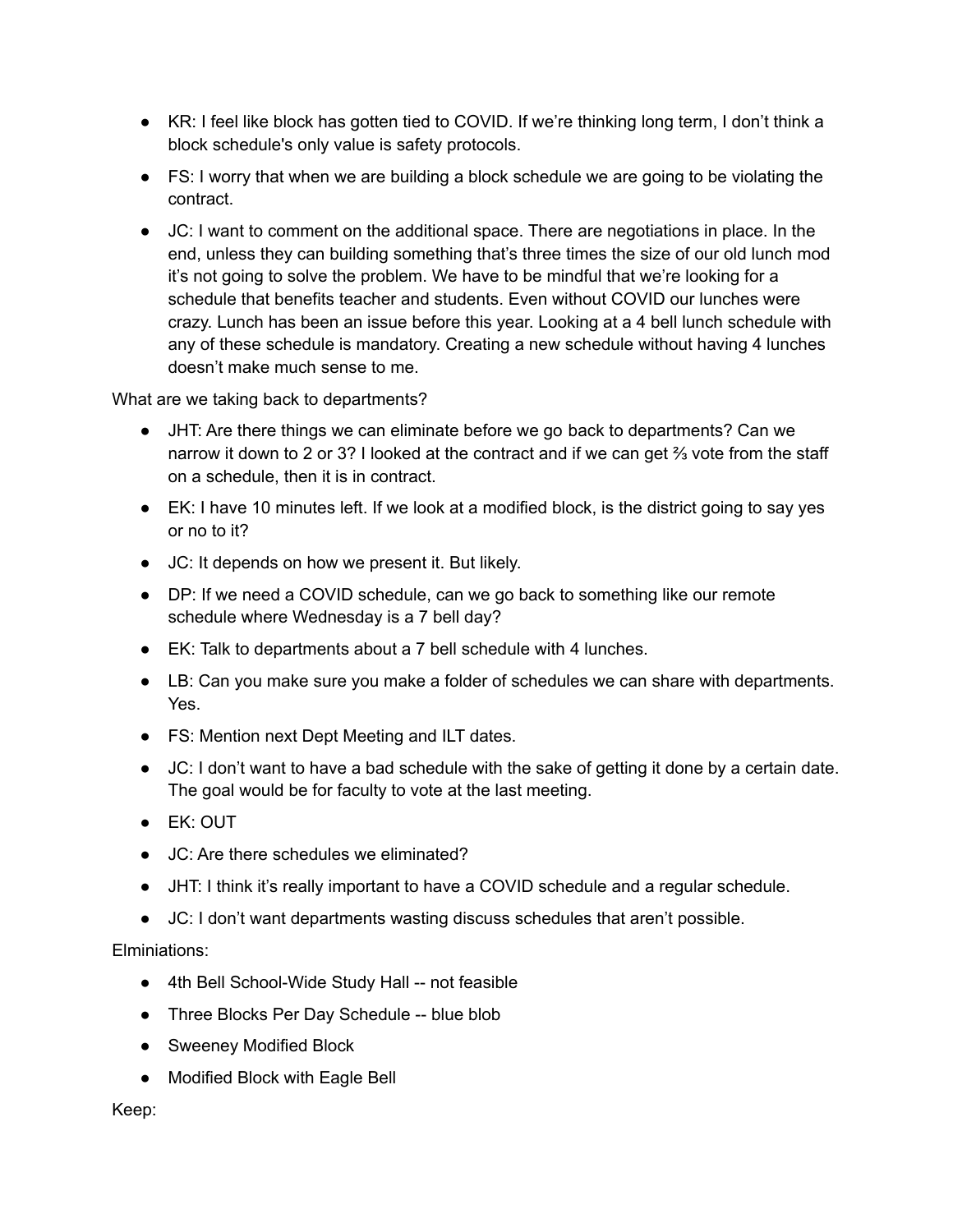- KR: I feel like block has gotten tied to COVID. If we're thinking long term, I don't think a block schedule's only value is safety protocols.
- FS: I worry that when we are building a block schedule we are going to be violating the contract.
- JC: I want to comment on the additional space. There are negotiations in place. In the end, unless they can building something that's three times the size of our old lunch mod it's not going to solve the problem. We have to be mindful that we're looking for a schedule that benefits teacher and students. Even without COVID our lunches were crazy. Lunch has been an issue before this year. Looking at a 4 bell lunch schedule with any of these schedule is mandatory. Creating a new schedule without having 4 lunches doesn't make much sense to me.

What are we taking back to departments?

- JHT: Are there things we can eliminate before we go back to departments? Can we narrow it down to 2 or 3? I looked at the contract and if we can get <sup>2</sup> yote from the staff on a schedule, then it is in contract.
- $\bullet$  EK: I have 10 minutes left. If we look at a modified block, is the district going to say yes or no to it?
- JC: It depends on how we present it. But likely.
- DP: If we need a COVID schedule, can we go back to something like our remote schedule where Wednesday is a 7 bell day?
- EK: Talk to departments about a 7 bell schedule with 4 lunches.
- LB: Can you make sure you make a folder of schedules we can share with departments. Yes.
- FS: Mention next Dept Meeting and ILT dates.
- JC: I don't want to have a bad schedule with the sake of getting it done by a certain date. The goal would be for faculty to vote at the last meeting.
- EK: OUT
- JC: Are there schedules we eliminated?
- JHT: I think it's really important to have a COVID schedule and a regular schedule.
- JC: I don't want departments wasting discuss schedules that aren't possible.

Elminiations:

- 4th Bell School-Wide Study Hall -- not feasible
- Three Blocks Per Day Schedule -- blue blob
- Sweeney Modified Block
- Modified Block with Eagle Bell

Keep: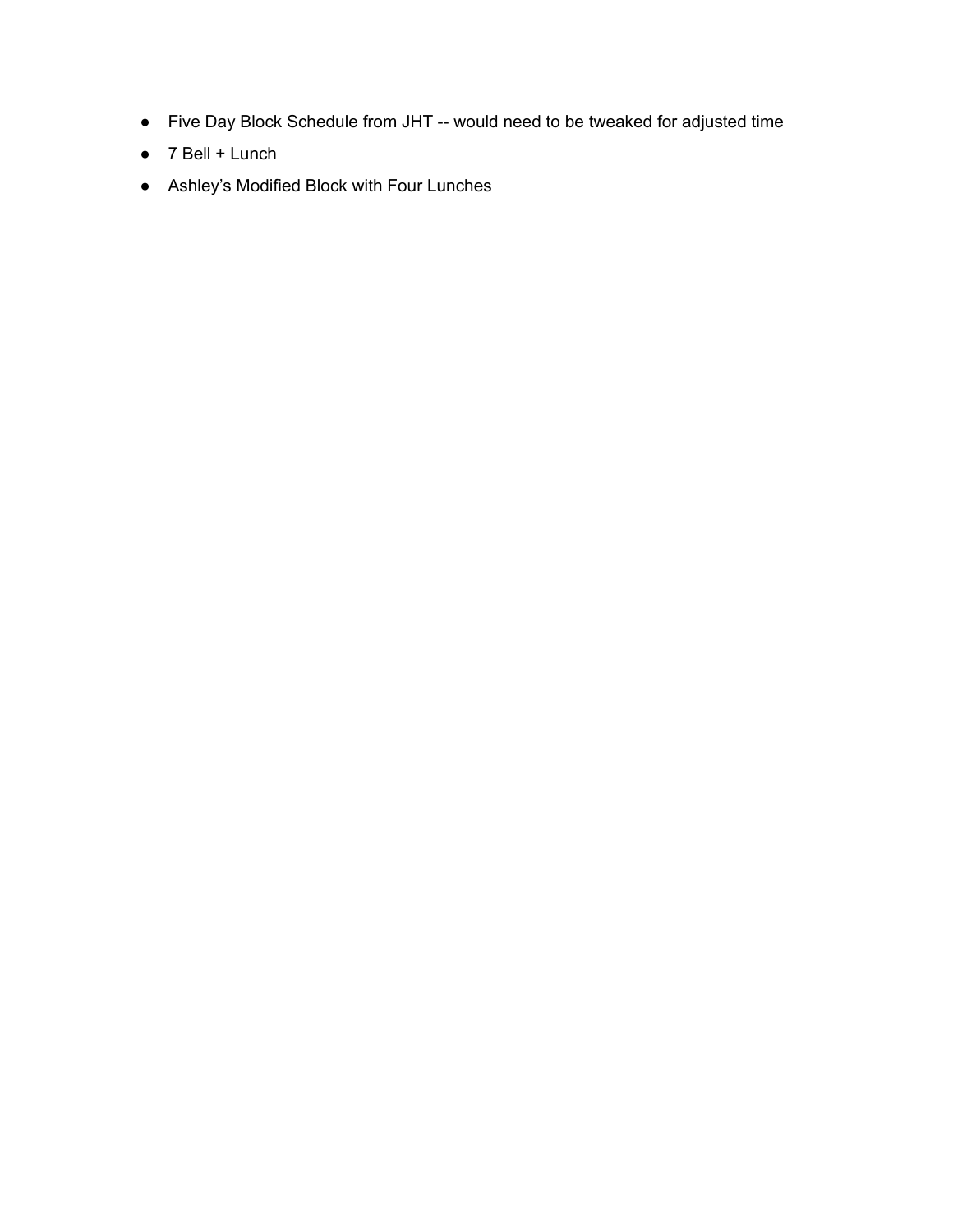- Five Day Block Schedule from JHT -- would need to be tweaked for adjusted time
- $\bullet$  7 Bell + Lunch
- Ashley's Modified Block with Four Lunches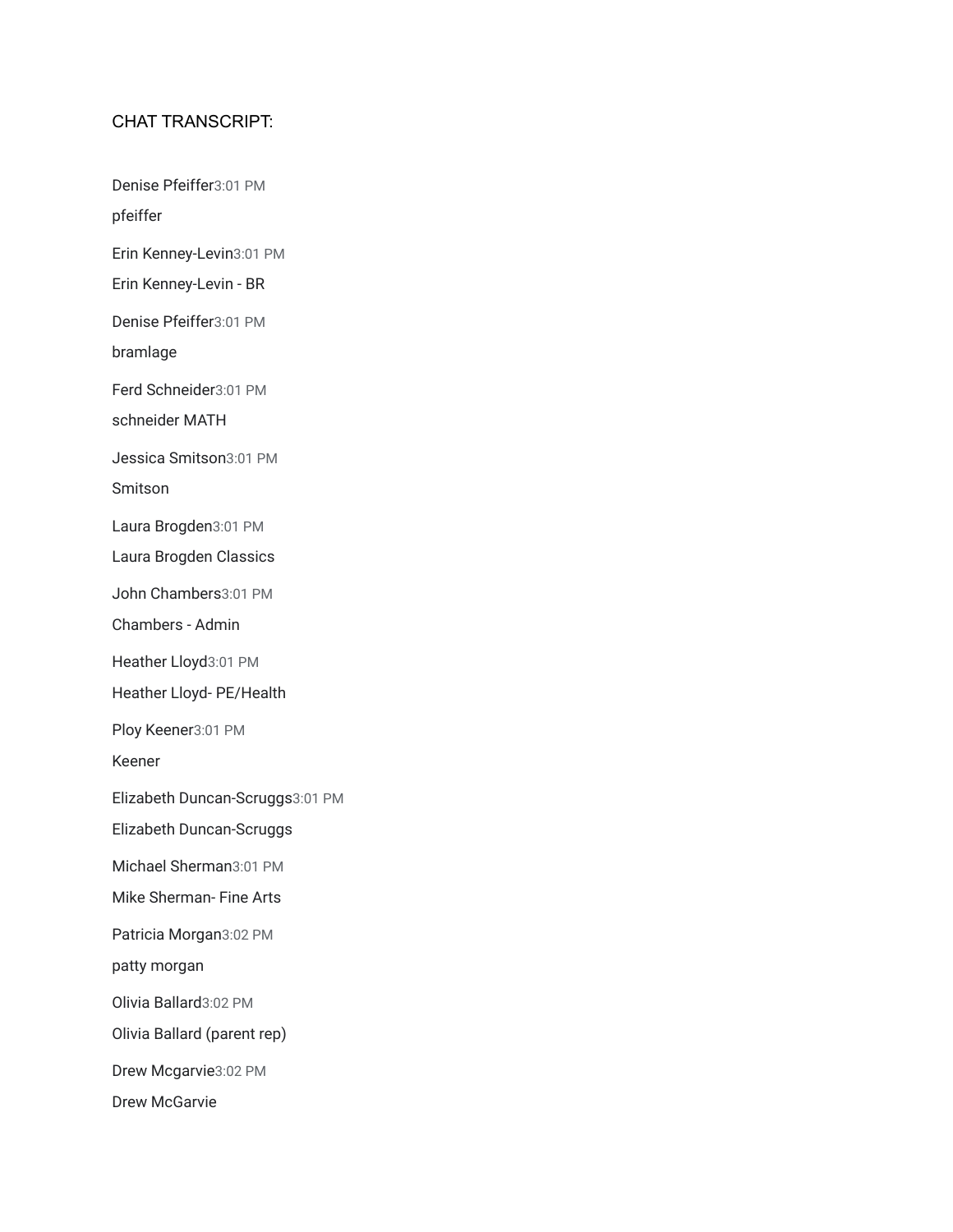## CHAT TRANSCRIPT:

Denise Pfeiffer3:01 PM

pfeiffer

Erin Kenney-Levin3:01 PM

Erin Kenney-Levin - BR

Denise Pfeiffer3:01 PM

bramlage

Ferd Schneider3:01 PM

schneider MATH

Jessica Smitson3:01 PM

Smitson

Laura Brogden3:01 PM

Laura Brogden Classics

John Chambers3:01 PM

Chambers - Admin

Heather Lloyd3:01 PM

Heather Lloyd- PE/Health

Ploy Keener3:01 PM

Keener

Elizabeth Duncan-Scruggs3:01 PM

Elizabeth Duncan-Scruggs

Michael Sherman3:01 PM

Mike Sherman- Fine Arts

Patricia Morgan3:02 PM

patty morgan

Olivia Ballard3:02 PM

Olivia Ballard (parent rep)

Drew Mcgarvie3:02 PM

Drew McGarvie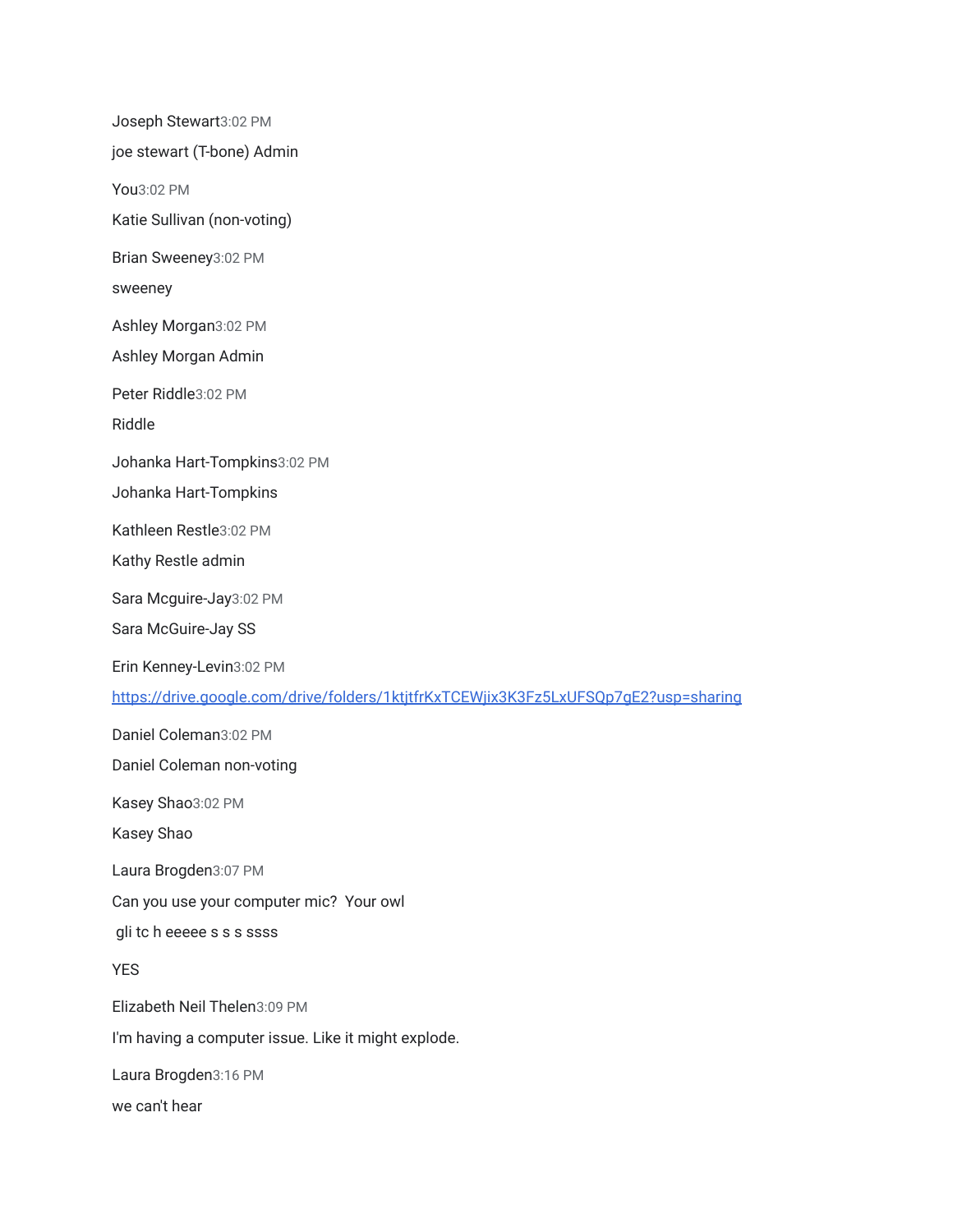Joseph Stewart3:02 PM joe stewart (T-bone) Admin You3:02 PM Katie Sullivan (non-voting) Brian Sweeney3:02 PM sweeney Ashley Morgan3:02 PM Ashley Morgan Admin Peter Riddle3:02 PM Riddle Johanka Hart-Tompkins3:02 PM Johanka Hart-Tompkins Kathleen Restle3:02 PM Kathy Restle admin Sara Mcguire-Jay3:02 PM Sara McGuire-Jay SS Erin Kenney-Levin3:02 PM <https://drive.google.com/drive/folders/1ktjtfrKxTCEWjix3K3Fz5LxUFSQp7gE2?usp=sharing> Daniel Coleman3:02 PM Daniel Coleman non-voting Kasey Shao3:02 PM Kasey Shao Laura Brogden3:07 PM Can you use your computer mic? Your owl gli tc h eeeee s s s ssss YES Elizabeth Neil Thelen3:09 PM I'm having a computer issue. Like it might explode. Laura Brogden3:16 PM

we can't hear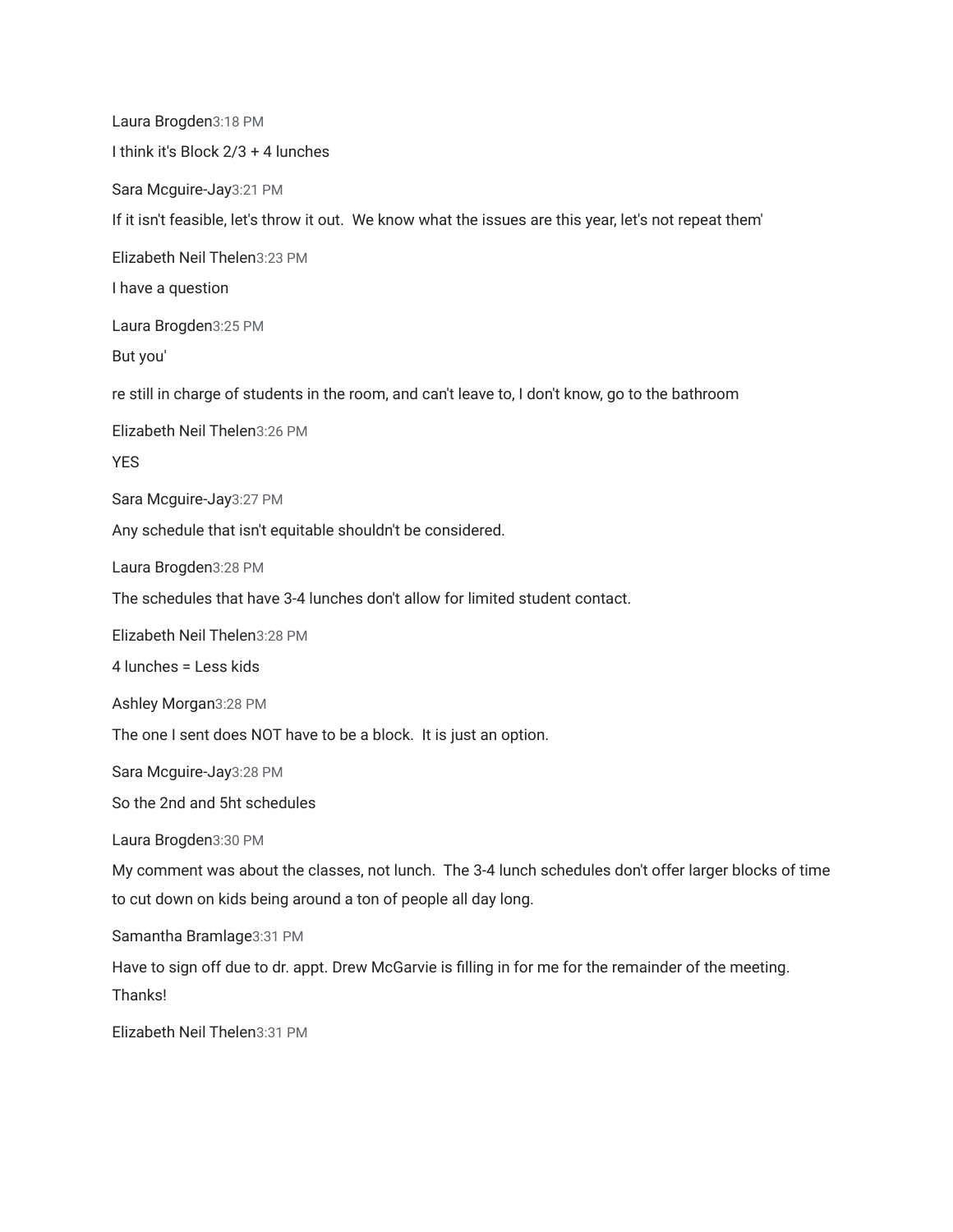Laura Brogden3:18 PM I think it's Block 2/3 + 4 lunches Sara Mcguire-Jay3:21 PM If it isn't feasible, let's throw it out. We know what the issues are this year, let's not repeat them' Elizabeth Neil Thelen3:23 PM I have a question Laura Brogden3:25 PM But you' re still in charge of students in the room, and can't leave to, I don't know, go to the bathroom Elizabeth Neil Thelen3:26 PM **YES** Sara Mcguire-Jay3:27 PM Any schedule that isn't equitable shouldn't be considered. Laura Brogden3:28 PM The schedules that have 3-4 lunches don't allow for limited student contact. Elizabeth Neil Thelen3:28 PM 4 lunches = Less kids Ashley Morgan3:28 PM The one I sent does NOT have to be a block. It is just an option. Sara Mcguire-Jay3:28 PM So the 2nd and 5ht schedules Laura Brogden3:30 PM My comment was about the classes, not lunch. The 3-4 lunch schedules don't offer larger blocks of time to cut down on kids being around a ton of people all day long. Samantha Bramlage3:31 PM Have to sign off due to dr. appt. Drew McGarvie is filling in for me for the remainder of the meeting. Thanks!

Elizabeth Neil Thelen3:31 PM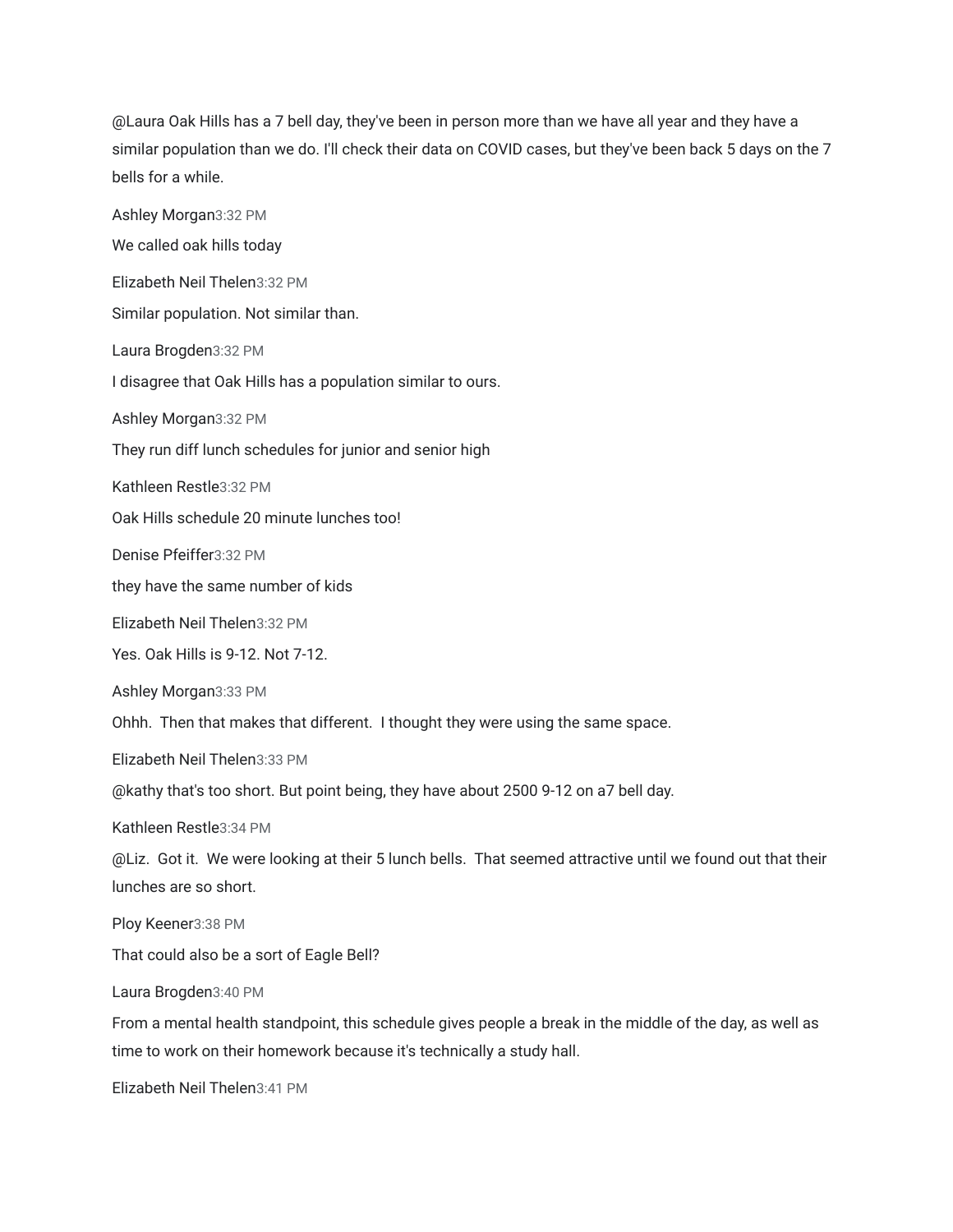@Laura Oak Hills has a 7 bell day, they've been in person more than we have all year and they have a similar population than we do. I'll check their data on COVID cases, but they've been back 5 days on the 7 bells for a while.

Ashley Morgan3:32 PM We called oak hills today Elizabeth Neil Thelen3:32 PM Similar population. Not similar than. Laura Brogden3:32 PM I disagree that Oak Hills has a population similar to ours. Ashley Morgan3:32 PM They run diff lunch schedules for junior and senior high Kathleen Restle3:32 PM Oak Hills schedule 20 minute lunches too! Denise Pfeiffer3:32 PM they have the same number of kids Elizabeth Neil Thelen3:32 PM Yes. Oak Hills is 9-12. Not 7-12. Ashley Morgan3:33 PM Ohhh. Then that makes that different. I thought they were using the same space. Elizabeth Neil Thelen3:33 PM @kathy that's too short. But point being, they have about 2500 9-12 on a7 bell day. Kathleen Restle3:34 PM @Liz. Got it. We were looking at their 5 lunch bells. That seemed attractive until we found out that their lunches are so short. Ploy Keener3:38 PM That could also be a sort of Eagle Bell? Laura Brogden3:40 PM From a mental health standpoint, this schedule gives people a break in the middle of the day, as well as time to work on their homework because it's technically a study hall.

Elizabeth Neil Thelen3:41 PM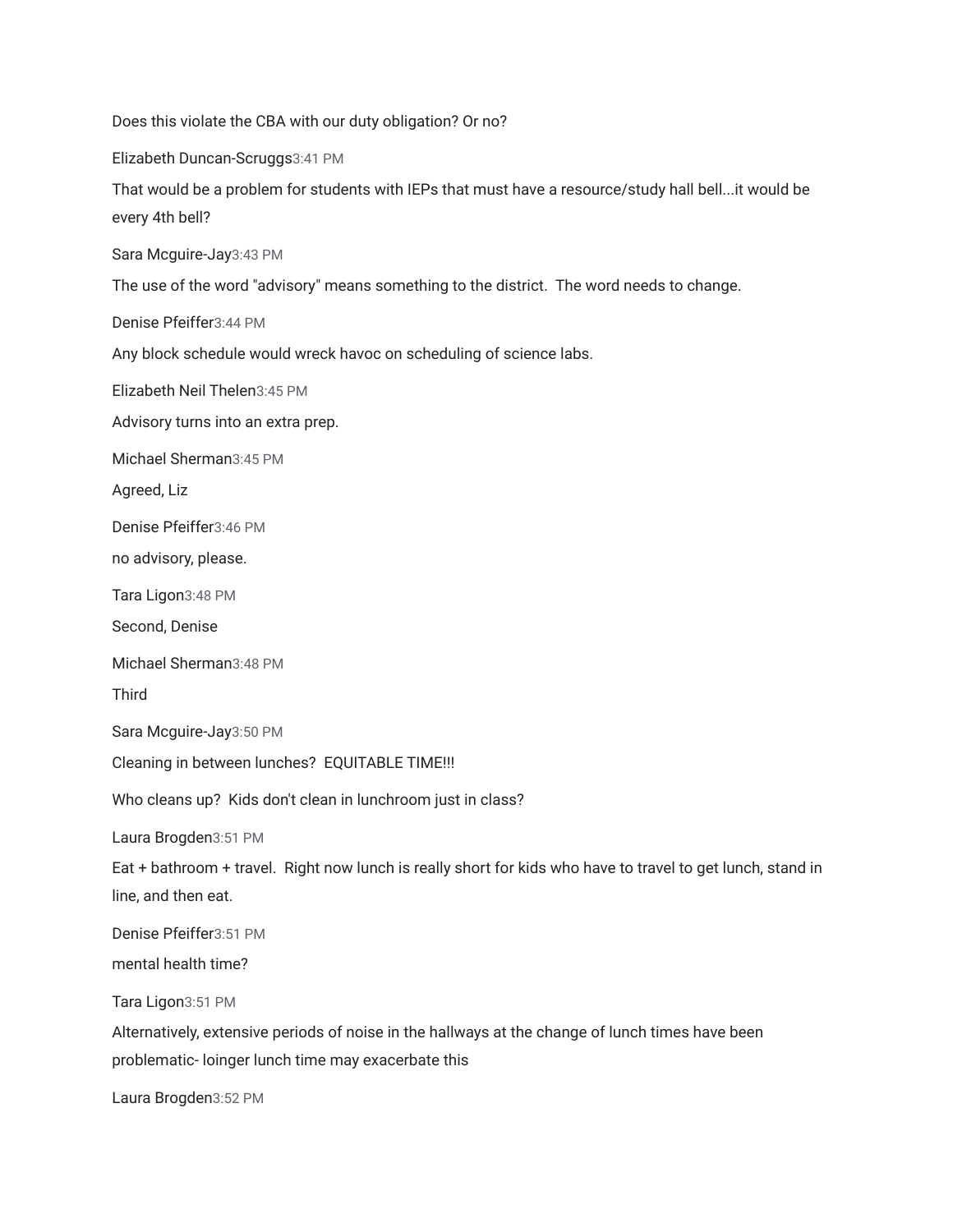Does this violate the CBA with our duty obligation? Or no? Elizabeth Duncan-Scruggs3:41 PM That would be a problem for students with IEPs that must have a resource/study hall bell...it would be every 4th bell? Sara Mcguire-Jay3:43 PM The use of the word "advisory" means something to the district. The word needs to change. Denise Pfeiffer3:44 PM Any block schedule would wreck havoc on scheduling of science labs. Elizabeth Neil Thelen3:45 PM Advisory turns into an extra prep. Michael Sherman3:45 PM Agreed, Liz Denise Pfeiffer3:46 PM no advisory, please. Tara Ligon3:48 PM Second, Denise Michael Sherman3:48 PM Third Sara Mcguire-Jay3:50 PM Cleaning in between lunches? EQUITABLE TIME!!! Who cleans up? Kids don't clean in lunchroom just in class? Laura Brogden3:51 PM Eat + bathroom + travel. Right now lunch is really short for kids who have to travel to get lunch, stand in line, and then eat. Denise Pfeiffer3:51 PM mental health time? Tara Ligon3:51 PM Alternatively, extensive periods of noise in the hallways at the change of lunch times have been problematic- loinger lunch time may exacerbate this

Laura Brogden3:52 PM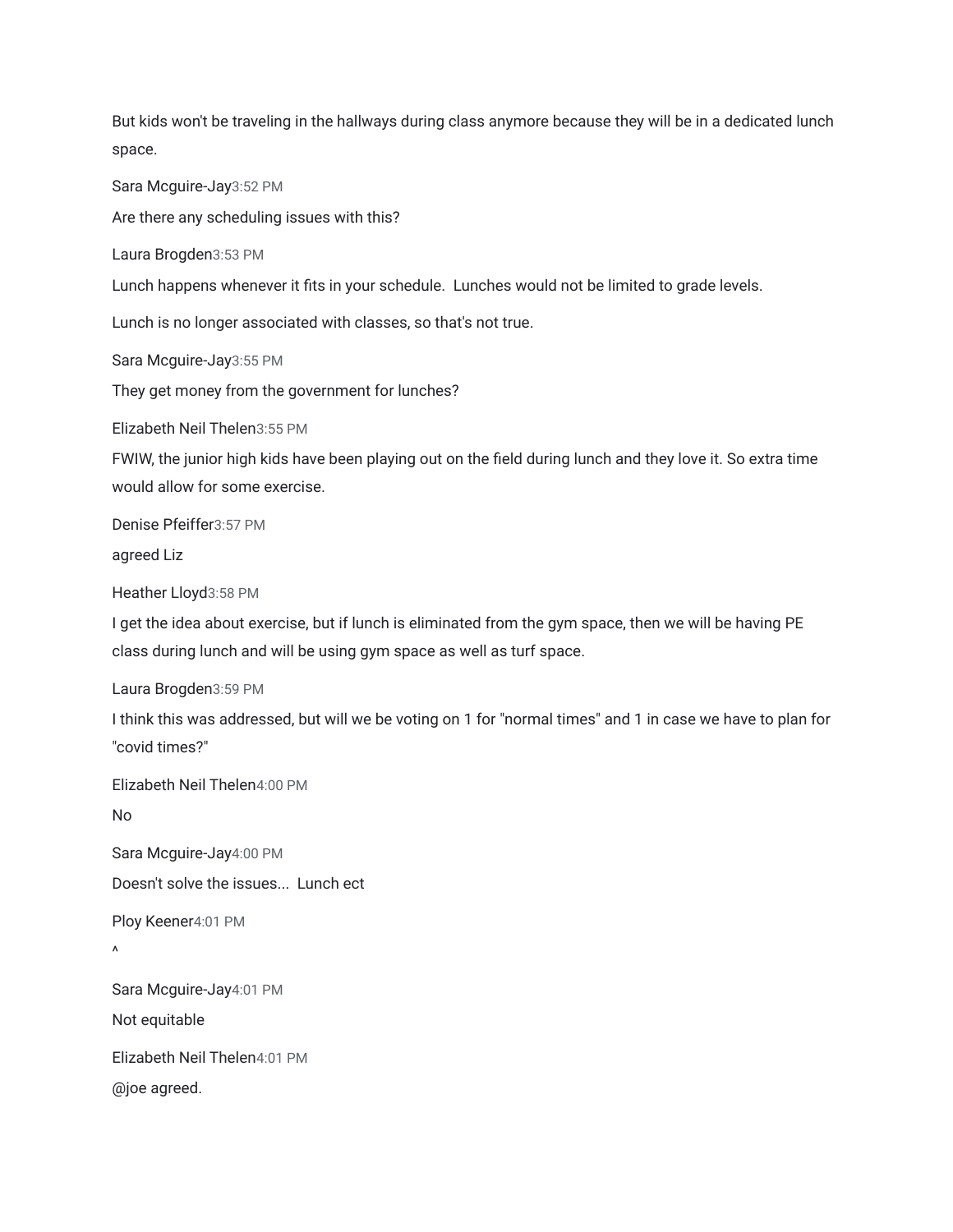But kids won't be traveling in the hallways during class anymore because they will be in a dedicated lunch space.

Sara Mcguire-Jay3:52 PM

Are there any scheduling issues with this?

Laura Brogden3:53 PM

Lunch happens whenever it fits in your schedule. Lunches would not be limited to grade levels.

Lunch is no longer associated with classes, so that's not true.

Sara Mcguire-Jay3:55 PM

They get money from the government for lunches?

Elizabeth Neil Thelen3:55 PM

FWIW, the junior high kids have been playing out on the field during lunch and they love it. So extra time would allow for some exercise.

Denise Pfeiffer3:57 PM

agreed Liz

Heather Lloyd3:58 PM

I get the idea about exercise, but if lunch is eliminated from the gym space, then we will be having PE class during lunch and will be using gym space as well as turf space.

Laura Brogden3:59 PM

I think this was addressed, but will we be voting on 1 for "normal times" and 1 in case we have to plan for "covid times?"

Elizabeth Neil Thelen4:00 PM

No

Sara Mcguire-Jay4:00 PM Doesn't solve the issues... Lunch ect

Ploy Keener4:01 PM

 $\lambda$ 

Sara Mcguire-Jay4:01 PM

Not equitable

Elizabeth Neil Thelen4:01 PM

@joe agreed.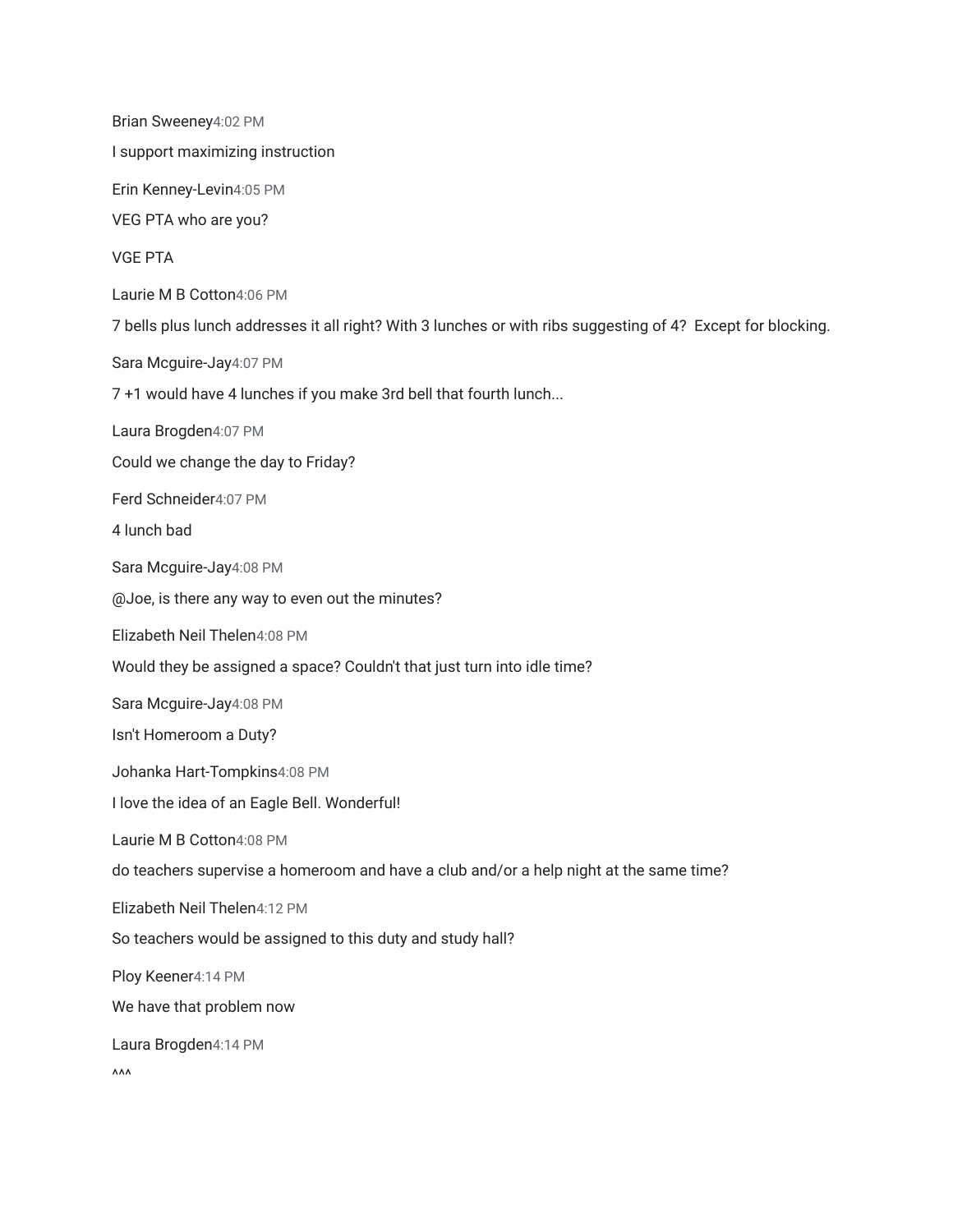Brian Sweeney4:02 PM I support maximizing instruction Erin Kenney-Levin4:05 PM VEG PTA who are you? VGE PTA Laurie M B Cotton4:06 PM 7 bells plus lunch addresses it all right? With 3 lunches or with ribs suggesting of 4? Except for blocking. Sara Mcguire-Jay4:07 PM 7 +1 would have 4 lunches if you make 3rd bell that fourth lunch... Laura Brogden4:07 PM Could we change the day to Friday? Ferd Schneider4:07 PM 4 lunch bad Sara Mcguire-Jay4:08 PM @Joe, is there any way to even out the minutes? Elizabeth Neil Thelen4:08 PM Would they be assigned a space? Couldn't that just turn into idle time? Sara Mcguire-Jay4:08 PM Isn't Homeroom a Duty? Johanka Hart-Tompkins4:08 PM I love the idea of an Eagle Bell. Wonderful! Laurie M B Cotton4:08 PM do teachers supervise a homeroom and have a club and/or a help night at the same time? Elizabeth Neil Thelen4:12 PM So teachers would be assigned to this duty and study hall? Ploy Keener4:14 PM We have that problem now Laura Brogden4:14 PM  $\Lambda\Lambda\Lambda$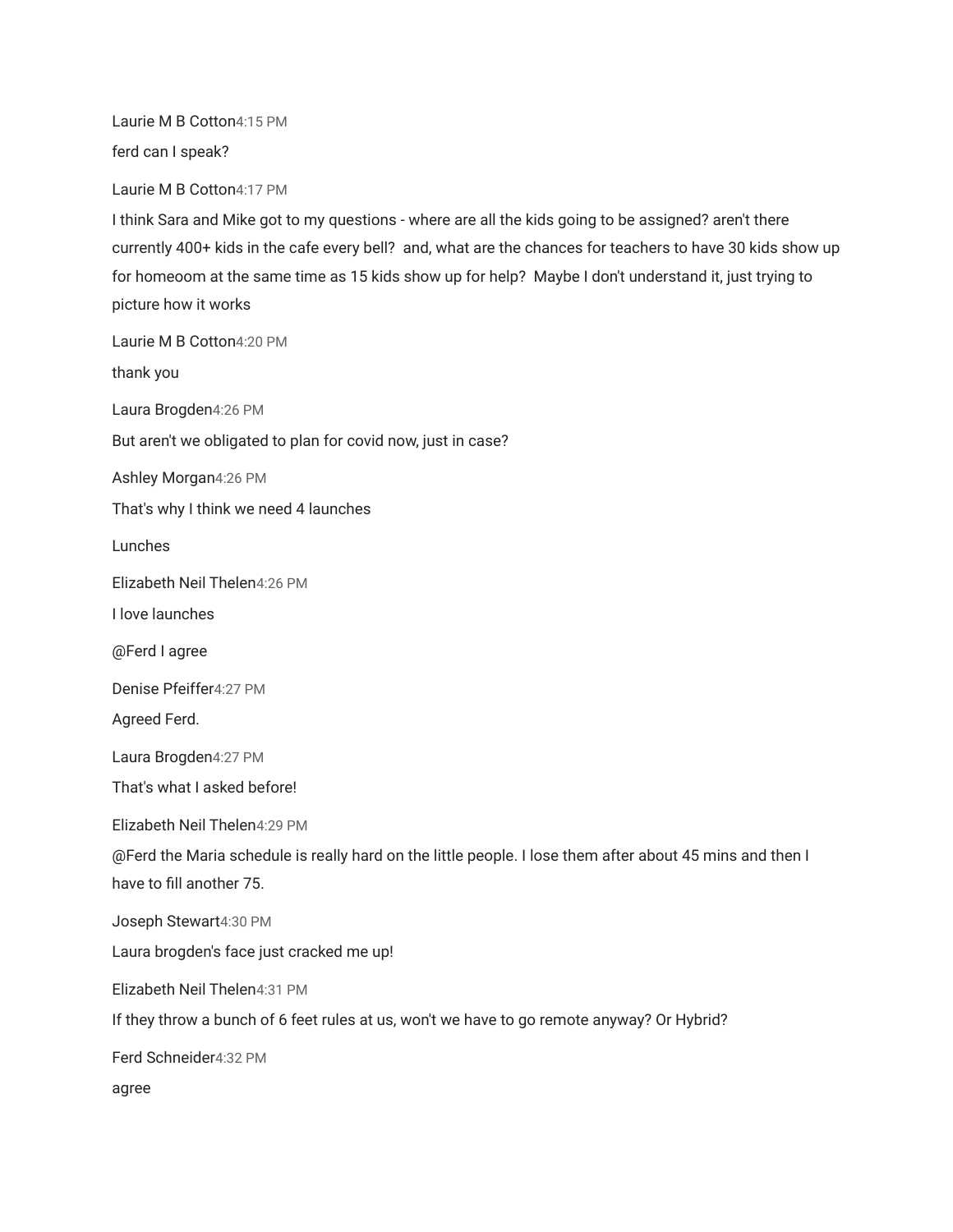Laurie M B Cotton4:15 PM

ferd can I speak?

Laurie M B Cotton4:17 PM

I think Sara and Mike got to my questions - where are all the kids going to be assigned? aren't there currently 400+ kids in the cafe every bell? and, what are the chances for teachers to have 30 kids show up for homeoom at the same time as 15 kids show up for help? Maybe I don't understand it, just trying to picture how it works

Laurie M B Cotton4:20 PM

thank you

Laura Brogden4:26 PM

But aren't we obligated to plan for covid now, just in case?

Ashley Morgan4:26 PM

That's why I think we need 4 launches

Lunches

Elizabeth Neil Thelen4:26 PM

I love launches

@Ferd I agree

Denise Pfeiffer4:27 PM

Agreed Ferd.

Laura Brogden4:27 PM

That's what I asked before!

Elizabeth Neil Thelen4:29 PM

@Ferd the Maria schedule is really hard on the little people. I lose them after about 45 mins and then I have to fill another 75.

Joseph Stewart4:30 PM

Laura brogden's face just cracked me up!

Elizabeth Neil Thelen4:31 PM

If they throw a bunch of 6 feet rules at us, won't we have to go remote anyway? Or Hybrid?

Ferd Schneider4:32 PM

agree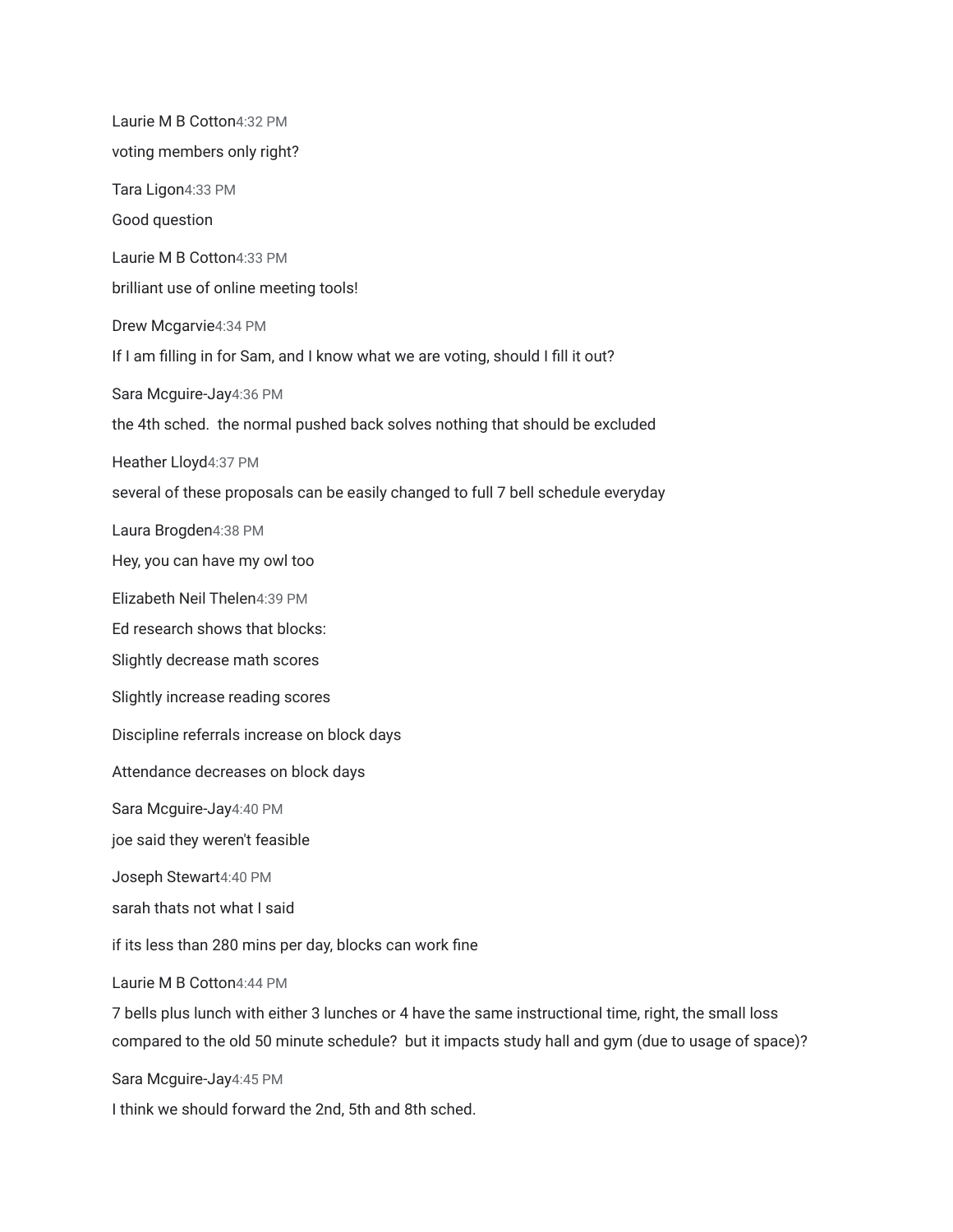Laurie M B Cotton4:32 PM voting members only right? Tara Ligon4:33 PM Good question Laurie M B Cotton4:33 PM brilliant use of online meeting tools! Drew Mcgarvie4:34 PM If I am filling in for Sam, and I know what we are voting, should I fill it out? Sara Mcguire-Jay4:36 PM the 4th sched. the normal pushed back solves nothing that should be excluded Heather Lloyd4:37 PM several of these proposals can be easily changed to full 7 bell schedule everyday Laura Brogden4:38 PM Hey, you can have my owl too Elizabeth Neil Thelen4:39 PM Ed research shows that blocks: Slightly decrease math scores Slightly increase reading scores Discipline referrals increase on block days Attendance decreases on block days Sara Mcguire-Jay4:40 PM joe said they weren't feasible Joseph Stewart4:40 PM sarah thats not what I said if its less than 280 mins per day, blocks can work fine Laurie M B Cotton4:44 PM 7 bells plus lunch with either 3 lunches or 4 have the same instructional time, right, the small loss compared to the old 50 minute schedule? but it impacts study hall and gym (due to usage of space)?

Sara Mcguire-Jay4:45 PM

I think we should forward the 2nd, 5th and 8th sched.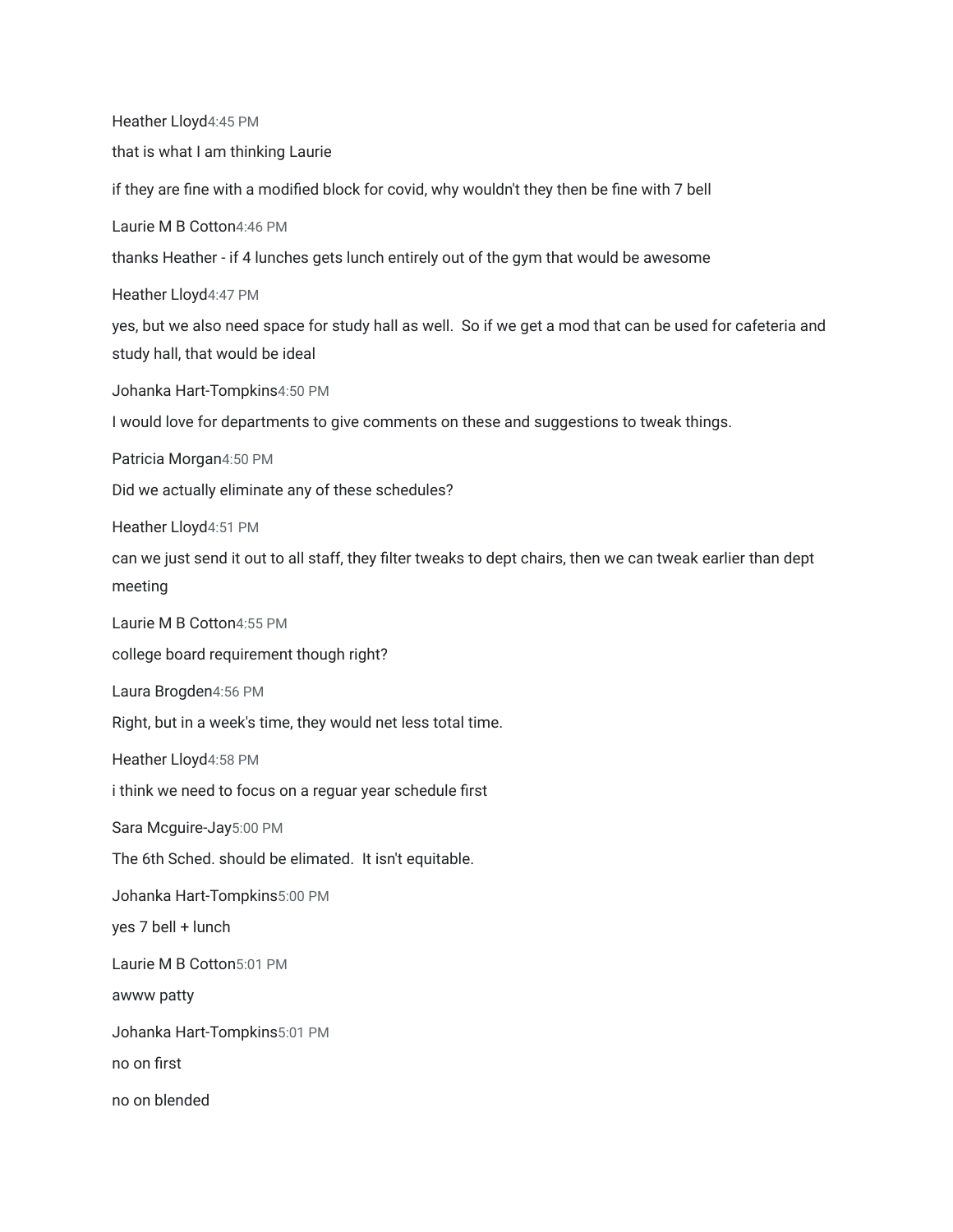Heather Lloyd4:45 PM that is what I am thinking Laurie if they are fine with a modified block for covid, why wouldn't they then be fine with 7 bell Laurie M B Cotton4:46 PM thanks Heather - if 4 lunches gets lunch entirely out of the gym that would be awesome Heather Lloyd4:47 PM yes, but we also need space for study hall as well. So if we get a mod that can be used for cafeteria and study hall, that would be ideal Johanka Hart-Tompkins4:50 PM I would love for departments to give comments on these and suggestions to tweak things. Patricia Morgan4:50 PM Did we actually eliminate any of these schedules? Heather Lloyd4:51 PM can we just send it out to all staff, they filter tweaks to dept chairs, then we can tweak earlier than dept meeting Laurie M B Cotton4:55 PM college board requirement though right? Laura Brogden4:56 PM Right, but in a week's time, they would net less total time. Heather Lloyd4:58 PM i think we need to focus on a reguar year schedule first Sara Mcguire-Jay5:00 PM The 6th Sched. should be elimated. It isn't equitable. Johanka Hart-Tompkins5:00 PM yes 7 bell + lunch Laurie M B Cotton5:01 PM awww patty Johanka Hart-Tompkins5:01 PM no on first no on blended